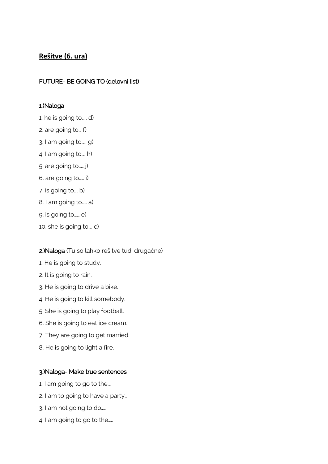# **Rešitve (6. ura)**

# FUTURE- BE GOING TO (delovni list)

## 1.)Naloga

- 1. he is going to….. d)
- 2. are going to… f)
- 3. I am going to….. g)
- 4. I am going to…. h)
- 5. are going to..… j)
- 6. are going to….. i)
- 7. is going to…. b)
- 8. I am going to….. a)
- 9. is going to…… e)
- 10. she is going to…. c)

## 2.)Naloga (Tu so lahko rešitve tudi drugačne)

- 1. He is going to study.
- 2. It is going to rain.
- 3. He is going to drive a bike.
- 4. He is going to kill somebody.
- 5. She is going to play football.
- 6. She is going to eat ice cream.
- 7. They are going to get married.
- 8. He is going to light a fire.

### 3.)Naloga- Make true sentences

- 1. I am going to go to the….
- 2. I am to going to have a party…
- 3. I am not going to do……
- 4. I am going to go to the…..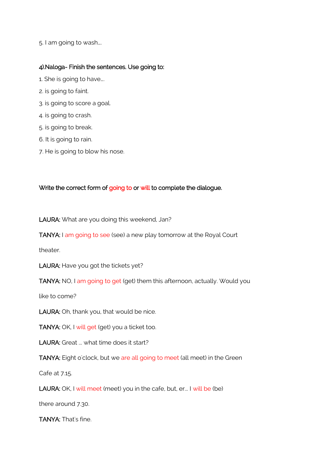5. I am going to wash….

## 4).Naloga- Finish the sentences. Use going to:

- 1. She is going to have….
- 2. is going to faint.
- 3. is going to score a goal.
- 4. is going to crash.
- 5. is going to break.
- 6. It is going to rain.
- 7. He is going to blow his nose.

### Write the correct form of going to or will to complete the dialogue.

LAURA: What are you doing this weekend, Jan?

TANYA: I am going to see (see) a new play tomorrow at the Royal Court

theater.

LAURA: Have you got the tickets yet?

TANYA: NO, I am going to get (get) them this afternoon, actually. Would you

like to come?

LAURA: Oh, thank you, that would be nice.

TANYA: OK, I will get (get) you a ticket too.

LAURA: Great ... what time does it start?

TANYA: Eight o'clock, but we are all going to meet (all meet) in the Green

Cafe at 7.15.

LAURA: OK, I will meet (meet) you in the cafe, but, er... I will be (be)

there around 7.30.

TANYA: That's fine.